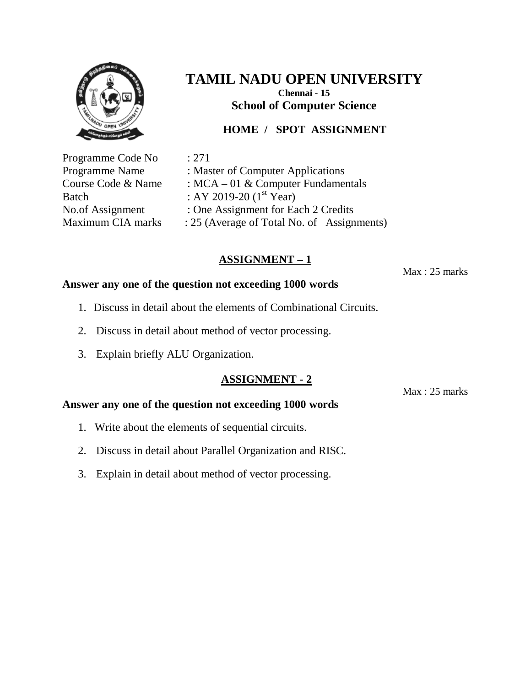

## **HOME / SPOT ASSIGNMENT**

Programme Code No : 271

Programme Name : Master of Computer Applications Course Code & Name : MCA – 01 & Computer Fundamentals Batch : AY 2019-20  $(1^{st}$  Year) No.of Assignment : One Assignment for Each 2 Credits Maximum CIA marks : 25 (Average of Total No. of Assignments)

# **ASSIGNMENT – 1**

Max : 25 marks

### **Answer any one of the question not exceeding 1000 words**

- 1. Discuss in detail about the elements of Combinational Circuits.
- 2. Discuss in detail about method of vector processing.
- 3. Explain briefly ALU Organization.

## **ASSIGNMENT - 2**

Max : 25 marks

- 1. Write about the elements of sequential circuits.
- 2. Discuss in detail about Parallel Organization and RISC.
- 3. Explain in detail about method of vector processing.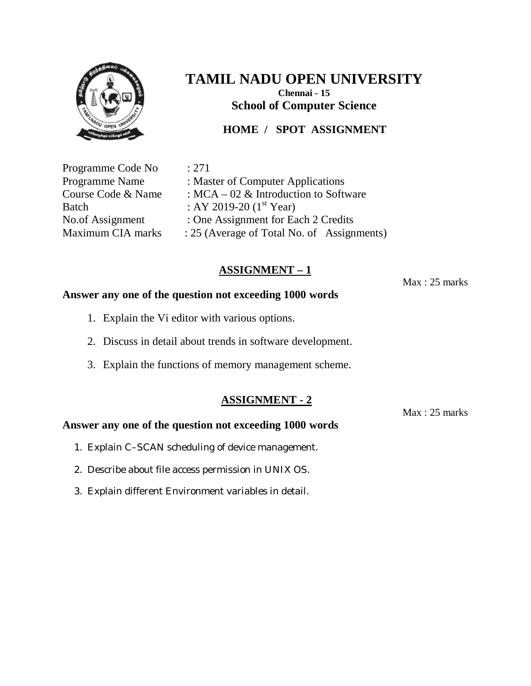

## **HOME / SPOT ASSIGNMENT**

Programme Code No : 271

Programme Name : Master of Computer Applications Course Code & Name : MCA – 02 & Introduction to Software Batch : AY 2019-20  $(1^{st}$  Year) No.of Assignment : One Assignment for Each 2 Credits Maximum CIA marks : 25 (Average of Total No. of Assignments)

# **ASSIGNMENT – 1**

Max : 25 marks

#### **Answer any one of the question not exceeding 1000 words**

- 1. Explain the Vi editor with various options.
- 2. Discuss in detail about trends in software development.
- 3. Explain the functions of memory management scheme.

#### **ASSIGNMENT - 2**

Max : 25 marks

- 1. Explain C–SCAN scheduling of device management.
- 2. Describe about file access permission in UNIX OS.
- 3. Explain different Environment variables in detail.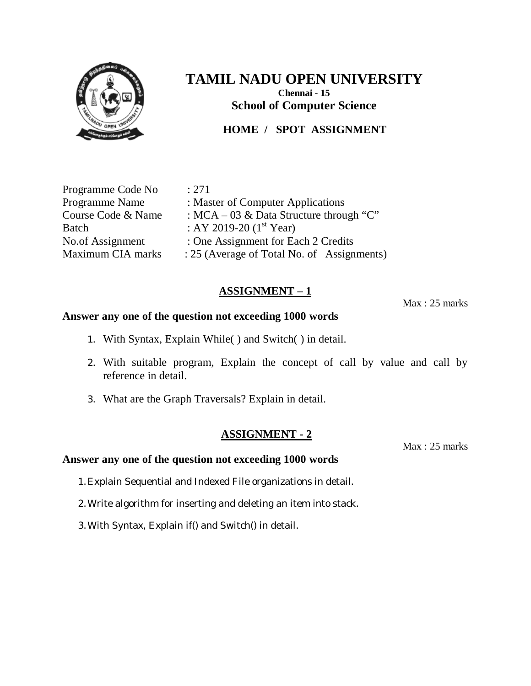

## **HOME / SPOT ASSIGNMENT**

Programme Code No : 271

Programme Name : Master of Computer Applications Course Code & Name : MCA – 03 & Data Structure through "C" Batch : AY 2019-20  $(1^{st}$  Year) No.of Assignment : One Assignment for Each 2 Credits<br>Maximum CIA marks : 25 (Average of Total No. of Assign : 25 (Average of Total No. of Assignments)

## **ASSIGNMENT – 1**

Max : 25 marks

#### **Answer any one of the question not exceeding 1000 words**

- 1. With Syntax, Explain While( ) and Switch( ) in detail.
- 2. With suitable program, Explain the concept of call by value and call by reference in detail.
- 3. What are the Graph Traversals? Explain in detail.

#### **ASSIGNMENT - 2**

Max : 25 marks

- 1.Explain Sequential and Indexed File organizations in detail.
- 2.Write algorithm for inserting and deleting an item into stack.
- 3.With Syntax, Explain if() and Switch() in detail.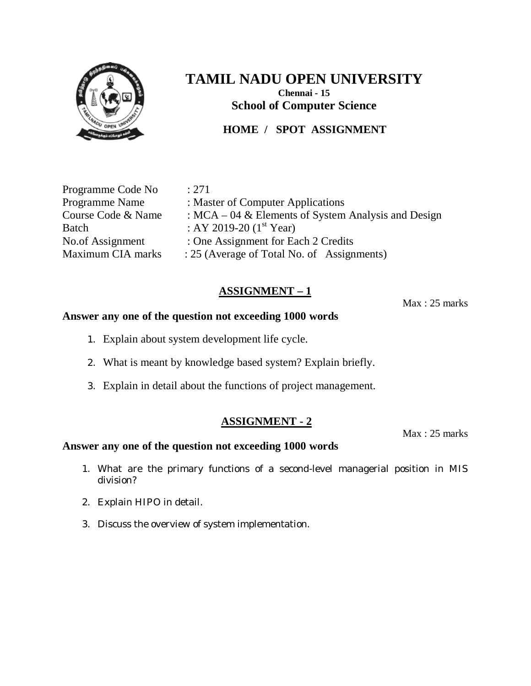

## **HOME / SPOT ASSIGNMENT**

Programme Code No : 271

Programme Name : Master of Computer Applications Course Code & Name :  $MCA - 04$  & Elements of System Analysis and Design Batch : AY 2019-20  $(1^{st}$  Year) No.of Assignment : One Assignment for Each 2 Credits Maximum CIA marks : 25 (Average of Total No. of Assignments)

## **ASSIGNMENT – 1**

Max : 25 marks

#### **Answer any one of the question not exceeding 1000 words**

- 1. Explain about system development life cycle.
- 2. What is meant by knowledge based system? Explain briefly.
- 3. Explain in detail about the functions of project management.

#### **ASSIGNMENT - 2**

Max : 25 marks

- 1. What are the primary functions of a second-level managerial position in MIS division?
- 2. Explain HIPO in detail.
- 3. Discuss the overview of system implementation.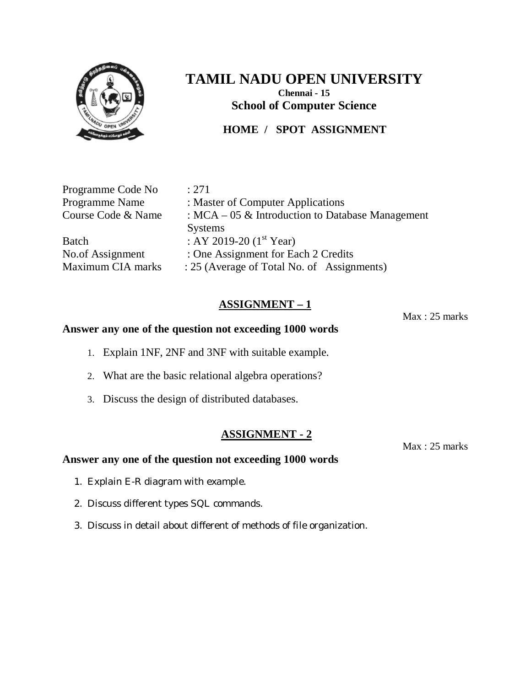

## **HOME / SPOT ASSIGNMENT**

Programme Code No : 271

Maximum CIA marks : 25 (Average of Total No. of Assignments)

Programme Name : Master of Computer Applications Course Code & Name : MCA – 05 & Introduction to Database Management Systems Batch : AY 2019-20  $(1<sup>st</sup> Year)$ No.of Assignment : One Assignment for Each 2 Credits

## **ASSIGNMENT – 1**

#### **Answer any one of the question not exceeding 1000 words**

- 1. Explain 1NF, 2NF and 3NF with suitable example.
- 2. What are the basic relational algebra operations?
- 3. Discuss the design of distributed databases.

#### **ASSIGNMENT - 2**

Max : 25 marks

# **Answer any one of the question not exceeding 1000 words**

- 1. Explain E-R diagram with example.
- 2. Discuss different types SQL commands.
- 3. Discuss in detail about different of methods of file organization.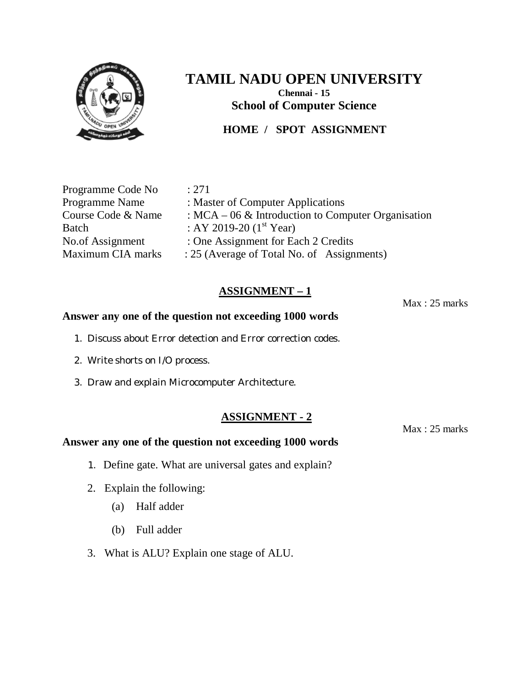

## **HOME / SPOT ASSIGNMENT**

Programme Code No : 271

Programme Name : Master of Computer Applications Course Code & Name :  $MCA - 06$  & Introduction to Computer Organisation Batch : AY 2019-20  $(1^{st}$  Year) No.of Assignment : One Assignment for Each 2 Credits Maximum CIA marks : 25 (Average of Total No. of Assignments)

## **ASSIGNMENT – 1**

#### **Answer any one of the question not exceeding 1000 words**

- 1. Discuss about Error detection and Error correction codes.
- 2. Write shorts on I/O process.
- 3. Draw and explain Microcomputer Architecture.

#### **ASSIGNMENT - 2**

#### **Answer any one of the question not exceeding 1000 words**

- 1. Define gate. What are universal gates and explain?
- 2. Explain the following:
	- (a) Half adder
	- (b) Full adder
- 3. What is ALU? Explain one stage of ALU.

Max : 25 marks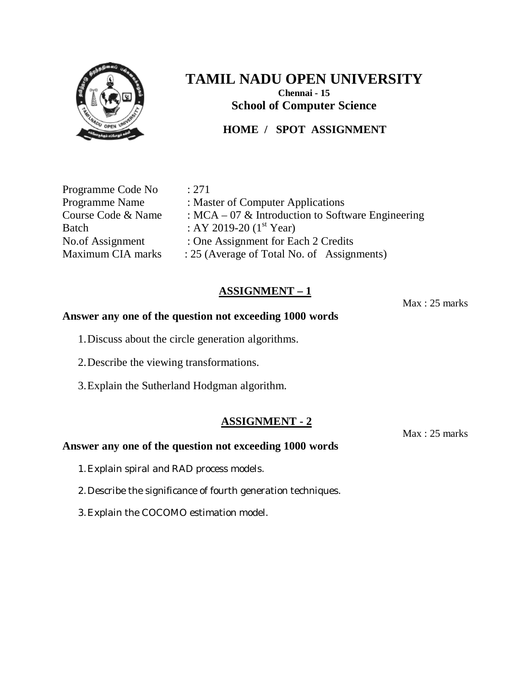

## **HOME / SPOT ASSIGNMENT**

Programme Code No : 271

Programme Name : Master of Computer Applications Course Code & Name :  $MCA - 07$  & Introduction to Software Engineering Batch : AY 2019-20  $(1^{st}$  Year) No.of Assignment : One Assignment for Each 2 Credits Maximum CIA marks : 25 (Average of Total No. of Assignments)

## **ASSIGNMENT – 1**

#### **Answer any one of the question not exceeding 1000 words**

- 1.Discuss about the circle generation algorithms.
- 2.Describe the viewing transformations.
- 3.Explain the Sutherland Hodgman algorithm.

#### **ASSIGNMENT - 2**

#### **Answer any one of the question not exceeding 1000 words**

- 1.Explain spiral and RAD process models.
- 2.Describe the significance of fourth generation techniques.
- 3.Explain the COCOMO estimation model.

Max : 25 marks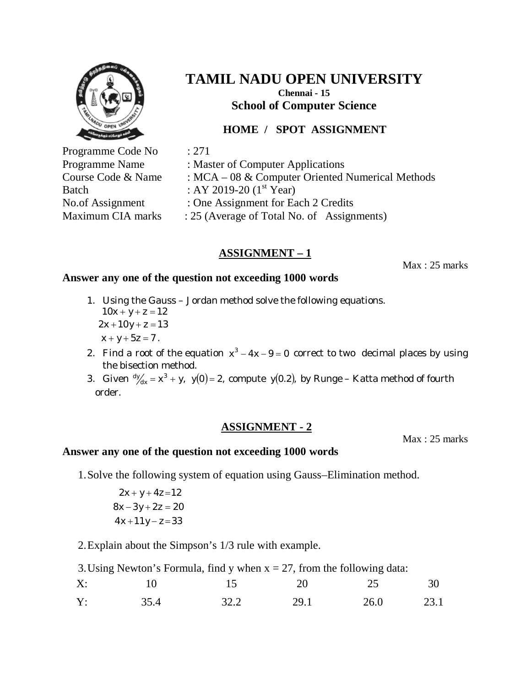

# **TAMIL NADU OPEN UNIVERSITY Chennai - 15**

**School of Computer Science**

# **HOME / SPOT ASSIGNMENT**

Programme Code No : 271 Batch : AY 2019-20  $(1<sup>st</sup> Year)$ 

Programme Name : Master of Computer Applications Course Code & Name : MCA – 08 & Computer Oriented Numerical Methods

- 
- No.of Assignment : One Assignment for Each 2 Credits
- Maximum CIA marks : 25 (Average of Total No. of Assignments)

# **ASSIGNMENT – 1**

Max : 25 marks

### **Answer any one of the question not exceeding 1000 words**

- 1. Using the Gauss Jordan method solve the following equations.  $10x + y + z = 12$  $2x + 10y + z = 13$  $x + y + 5z = 7$ .
- 2. Find a root of the equation  $x^3 4x 9 = 0$  correct to two decimal places by using the bisection method.
- 3. Given  $\frac{dy}{dx} = x^3 + y$ ,  $y(0) = 2$ , compute  $y(0.2)$ , by Runge Katta method of fourth order.

## **ASSIGNMENT - 2**

Max : 25 marks

### **Answer any one of the question not exceeding 1000 words**

1.Solve the following system of equation using Gauss–Elimination method.

 $4x + 11y - z = 33$  $8x - 3y + 2z = 20$ 2*x* + *y* + 4*z*=12

2.Explain about the Simpson's 1/3 rule with example.

| 3. Using Newton's Formula, find y when $x = 27$ , from the following data: |      |                |      |      |      |
|----------------------------------------------------------------------------|------|----------------|------|------|------|
| X:                                                                         |      | $\overline{5}$ | 20   | -25  | 30   |
| Y:                                                                         | 35.4 | 32.2           | 29.1 | 26.0 | 23.1 |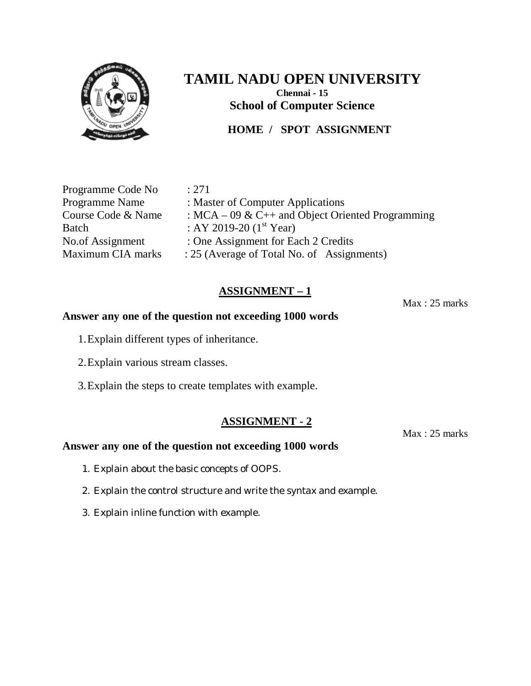

# **TAMIL NADU OPEN UNIVERSITY Chennai - 15**

**School of Computer Science**

# **HOME / SPOT ASSIGNMENT**

Programme Code No : 271

Programme Name : Master of Computer Applications Course Code & Name :  $MCA - 09 \& C++$  and Object Oriented Programming Batch : AY 2019-20  $(1^{st}$  Year) No.of Assignment : One Assignment for Each 2 Credits Maximum CIA marks : 25 (Average of Total No. of Assignments)

## **ASSIGNMENT – 1**

Max : 25 marks

#### **Answer any one of the question not exceeding 1000 words**

- 1.Explain different types of inheritance.
- 2.Explain various stream classes.
- 3.Explain the steps to create templates with example.

## **ASSIGNMENT - 2**

#### **Answer any one of the question not exceeding 1000 words**

- 1. Explain about the basic concepts of OOPS.
- 2. Explain the control structure and write the syntax and example.
- 3. Explain inline function with example.